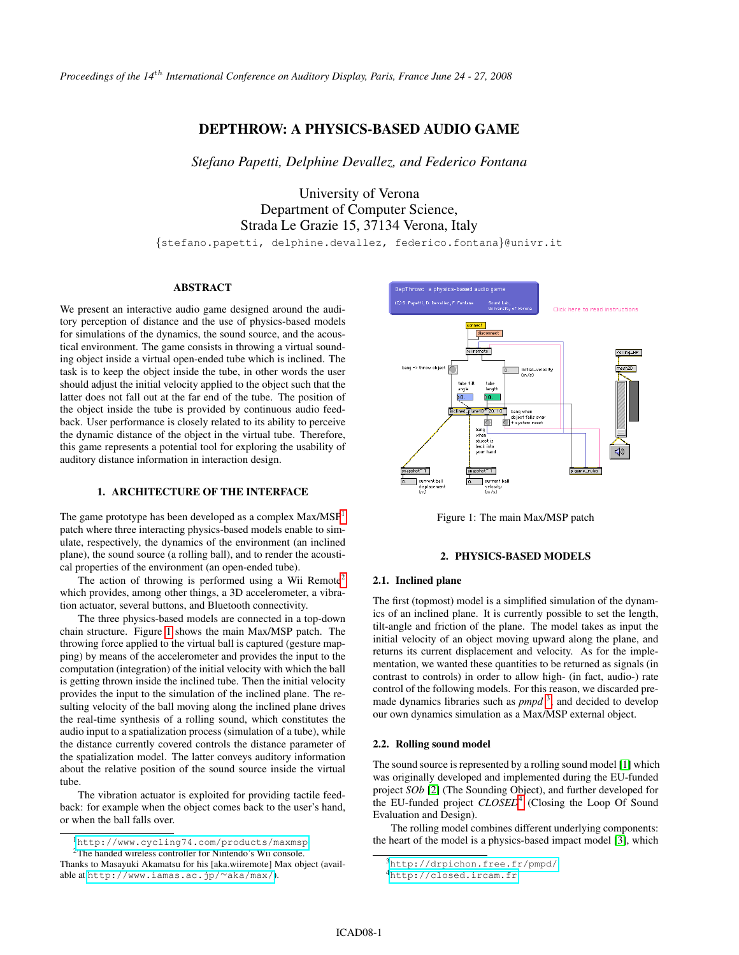*Proceedings of the 14*th *International Conference on Auditory Display, Paris, France June 24 - 27, 2008*

# DEPTHROW: A PHYSICS-BASED AUDIO GAME

*Stefano Papetti, Delphine Devallez, and Federico Fontana*

University of Verona Department of Computer Science, Strada Le Grazie 15, 37134 Verona, Italy

{stefano.papetti, delphine.devallez, federico.fontana}@univr.it

## ABSTRACT

We present an interactive audio game designed around the auditory perception of distance and the use of physics-based models for simulations of the dynamics, the sound source, and the acoustical environment. The game consists in throwing a virtual sounding object inside a virtual open-ended tube which is inclined. The task is to keep the object inside the tube, in other words the user should adjust the initial velocity applied to the object such that the latter does not fall out at the far end of the tube. The position of the object inside the tube is provided by continuous audio feedback. User performance is closely related to its ability to perceive the dynamic distance of the object in the virtual tube. Therefore, this game represents a potential tool for exploring the usability of auditory distance information in interaction design.

## 1. ARCHITECTURE OF THE INTERFACE

The game prototype has been developed as a complex Max/MSP<sup>[1](#page-0-0)</sup> patch where three interacting physics-based models enable to simulate, respectively, the dynamics of the environment (an inclined plane), the sound source (a rolling ball), and to render the acoustical properties of the environment (an open-ended tube).

The action of throwing is performed using a Wii Remote<sup>[2](#page-0-1)</sup> which provides, among other things, a 3D accelerometer, a vibration actuator, several buttons, and Bluetooth connectivity.

The three physics-based models are connected in a top-down chain structure. Figure [1](#page-0-2) shows the main Max/MSP patch. The throwing force applied to the virtual ball is captured (gesture mapping) by means of the accelerometer and provides the input to the computation (integration) of the initial velocity with which the ball is getting thrown inside the inclined tube. Then the initial velocity provides the input to the simulation of the inclined plane. The resulting velocity of the ball moving along the inclined plane drives the real-time synthesis of a rolling sound, which constitutes the audio input to a spatialization process (simulation of a tube), while the distance currently covered controls the distance parameter of the spatialization model. The latter conveys auditory information about the relative position of the sound source inside the virtual tube.

The vibration actuator is exploited for providing tactile feedback: for example when the object comes back to the user's hand, or when the ball falls over.

<span id="page-0-1"></span><span id="page-0-0"></span><sup>1</sup><http://www.cycling74.com/products/maxmsp>



<span id="page-0-2"></span>Figure 1: The main Max/MSP patch

# 2. PHYSICS-BASED MODELS

## 2.1. Inclined plane

The first (topmost) model is a simplified simulation of the dynamics of an inclined plane. It is currently possible to set the length, tilt-angle and friction of the plane. The model takes as input the initial velocity of an object moving upward along the plane, and returns its current displacement and velocity. As for the implementation, we wanted these quantities to be returned as signals (in contrast to controls) in order to allow high- (in fact, audio-) rate control of the following models. For this reason, we discarded premade dynamics libraries such as *pmpd*<sup>[3](#page-0-3)</sup>, and decided to develop our own dynamics simulation as a Max/MSP external object.

#### 2.2. Rolling sound model

The sound source is represented by a rolling sound model [\[1\]](#page-1-0) which was originally developed and implemented during the EU-funded project *SOb* [\[2\]](#page-1-1) (The Sounding Object), and further developed for the EU-funded project *CLOSED*[4](#page-0-4) (Closing the Loop Of Sound Evaluation and Design).

The rolling model combines different underlying components: the heart of the model is a physics-based impact model [\[3\]](#page-1-2), which

<sup>2</sup>The handed wireless controller for Nintendo's Wii console. Thanks to Masayuki Akamatsu for his [aka.wiiremote] Max object (available at [http://www.iamas.ac.jp/](http://www.iamas.ac.jp/~aka/max/)∼aka/max/).

<span id="page-0-3"></span> ${}^{3}$ <http://drpichon.free.fr/pmpd/>

<span id="page-0-4"></span><sup>4</sup><http://closed.ircam.fr>